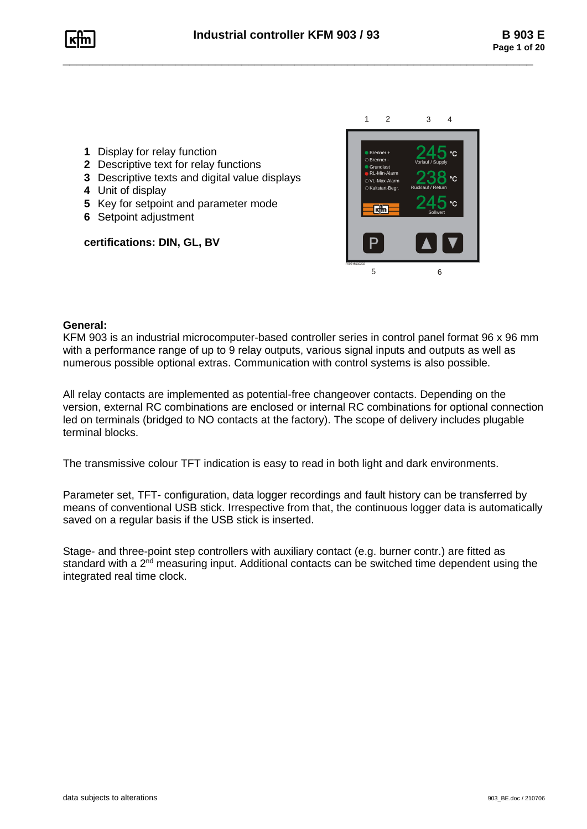

- **1** Display for relay function
- **2** Descriptive text for relay functions
- **3** Descriptive texts and digital value displays
- **4** Unit of display
- **5** Key for setpoint and parameter mode
- **6** Setpoint adjustment

# **certifications: DIN, GL, BV**



### **General:**

KFM 903 is an industrial microcomputer-based controller series in control panel format 96 x 96 mm with a performance range of up to 9 relay outputs, various signal inputs and outputs as well as numerous possible optional extras. Communication with control systems is also possible.

All relay contacts are implemented as potential-free changeover contacts. Depending on the version, external RC combinations are enclosed or internal RC combinations for optional connection led on terminals (bridged to NO contacts at the factory). The scope of delivery includes plugable terminal blocks. General:<br>
KFM 903 is an industrial microcomputer-based controller series<br>
with a performance range of up to 9 relay outputs, various signa<br>
numerous possible optional extras. Communication with control<br>
All relay contacts

The transmissive colour TFT indication is easy to read in both light and dark environments.

Parameter set, TFT- configuration, data logger recordings and fault history can be transferred by means of conventional USB stick. Irrespective from that, the continuous logger data is automatically saved on a regular basis if the USB stick is inserted.

Stage- and three-point step controllers with auxiliary contact (e.g. burner contr.) are fitted as standard with a 2<sup>nd</sup> measuring input. Additional contacts can be switched time dependent using the integrated real time clock.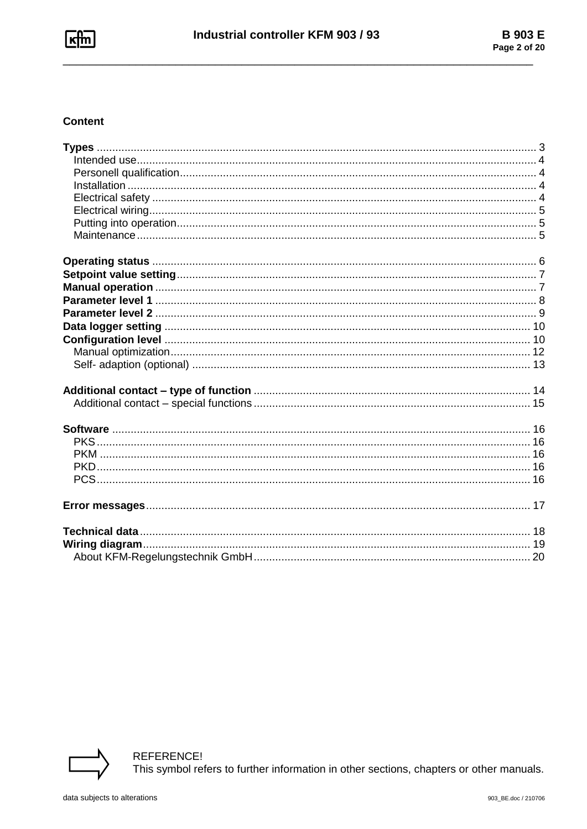## **Content**

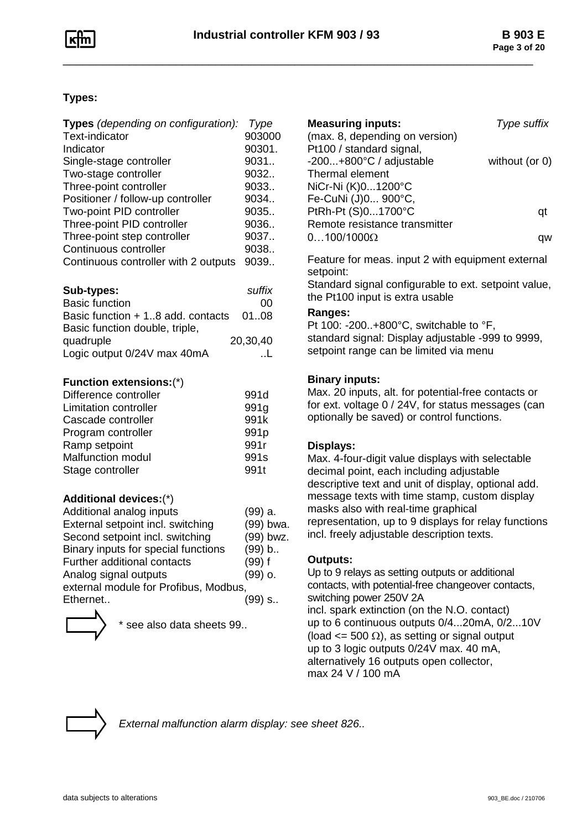# **Types:**

| <b>Types</b> (depending on configuration): | Type             |
|--------------------------------------------|------------------|
| <b>Text-indicator</b>                      | 903000           |
| Indicator                                  | 90301.           |
| Single-stage controller                    | 9031             |
| Two-stage controller                       | 9032             |
| Three-point controller                     | 9033             |
| Positioner / follow-up controller          | 9034             |
| Two-point PID controller                   | 9035             |
| Three-point PID controller                 | 9036             |
| Three-point step controller                | 9037             |
| Continuous controller                      | 9038             |
| Continuous controller with 2 outputs       | 9039             |
| Sub-types:                                 | suffix           |
| <b>Basic function</b>                      | 00               |
| Basic function + 18 add. contacts          | 0108             |
| Basic function double, triple,             |                  |
| quadruple                                  | 20,30,40         |
| Logic output 0/24V max 40mA                | L                |
| <b>Function extensions:(*)</b>             |                  |
| Difference controller                      | 991d             |
| <b>Limitation controller</b>               | 991g             |
| Cascade controller                         | 991k             |
| Program controller                         | 991 <sub>p</sub> |
| Ramp setpoint                              | 991r             |
| Malfunction modul                          | 991s             |
| Stage controller                           | 991t             |
| Additional devices:(*)                     |                  |
| Additional analog inputs                   | (99) a.          |
| External setpoint incl. switching          | (99) bwa.        |
| Second setpoint incl. switching            | (99) bwz.        |
| Binary inputs for special functions        | (99) b           |
| Further additional contacts                | $(99)$ f         |
| Analog signal outputs                      | $(99)$ o.        |
| external module for Profibus, Modbus,      |                  |
| Ethernet                                   | (99) s           |



see also data sheets 99..

| <b>Measuring inputs:</b><br>(max. 8, depending on version)                     | Type suffix    |
|--------------------------------------------------------------------------------|----------------|
| Pt100 / standard signal,<br>$-200+800^{\circ}C/$ adjustable<br>Thermal element | without (or 0) |
| NiCr-Ni (K) 01200°C                                                            |                |
| Fe-CuNi (J)0 900°C,<br>PtRh-Pt (S)01700°C                                      | ατ             |
| Remote resistance transmitter<br>$0100/1000\Omega$                             |                |

Feature for meas. input 2 with equipment external setpoint:

Standard signal configurable to ext. setpoint value, the Pt100 input is extra usable

### **Ranges:**

Pt 100: -200..+800°C, switchable to °F, standard signal: Display adjustable -999 to 9999, setpoint range can be limited via menu

### **Binary inputs:**

Max. 20 inputs, alt. for potential-free contacts or for ext. voltage 0 / 24V, for status messages (can optionally be saved) or control functions.

### **Displays:**

Max. 4-four-digit value displays with selectable decimal point, each including adjustable descriptive text and unit of display, optional add. message texts with time stamp, custom display masks also with real-time graphical representation, up to 9 displays for relay functions incl. freely adjustable description texts.

### **Outputs:**

Up to 9 relays as setting outputs or additional contacts, with potential-free changeover contacts, switching power 250V 2A incl. spark extinction (on the N.O. contact) up to 6 continuous outputs 0/4...20mA, 0/2...10V (load  $\leq$  500  $\Omega$ ), as setting or signal output up to 3 logic outputs 0/24V max. 40 mA, alternatively 16 outputs open collector, max 24 V / 100 mA



*External malfunction alarm display: see sheet 826..*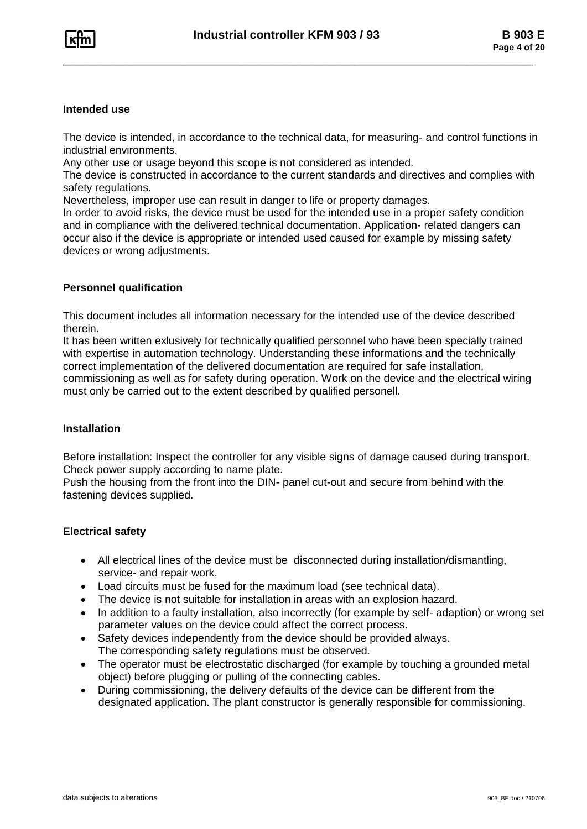#### **Intended use**

The device is intended, in accordance to the technical data, for measuring- and control functions in industrial environments.

Any other use or usage beyond this scope is not considered as intended.

The device is constructed in accordance to the current standards and directives and complies with safety regulations.

Nevertheless, improper use can result in danger to life or property damages.

In order to avoid risks, the device must be used for the intended use in a proper safety condition and in compliance with the delivered technical documentation. Application- related dangers can occur also if the device is appropriate or intended used caused for example by missing safety devices or wrong adjustments.

### **Personnel qualification**

This document includes all information necessary for the intended use of the device described therein.

It has been written exlusively for technically qualified personnel who have been specially trained with expertise in automation technology. Understanding these informations and the technically correct implementation of the delivered documentation are required for safe installation, commissioning as well as for safety during operation. Work on the device and the electrical wiring must only be carried out to the extent described by qualified personell.

### **Installation**

Before installation: Inspect the controller for any visible signs of damage caused during transport. Check power supply according to name plate.

Push the housing from the front into the DIN- panel cut-out and secure from behind with the fastening devices supplied.

### **Electrical safety**

- All electrical lines of the device must be disconnected during installation/dismantling, service- and repair work.
- Load circuits must be fused for the maximum load (see technical data).
- •The device is not suitable for installation in areas with an explosion hazard.
- • In addition to a faulty installation, also incorrectly (for example by self- adaption) or wrong set parameter values on the device could affect the correct process.
- Safety devices independently from the device should be provided always. The corresponding safety regulations must be observed.
- The operator must be electrostatic discharged (for example by touching a grounded metal object) before plugging or pulling of the connecting cables.
- • During commissioning, the delivery defaults of the device can be different from the designated application. The plant constructor is generally responsible for commissioning.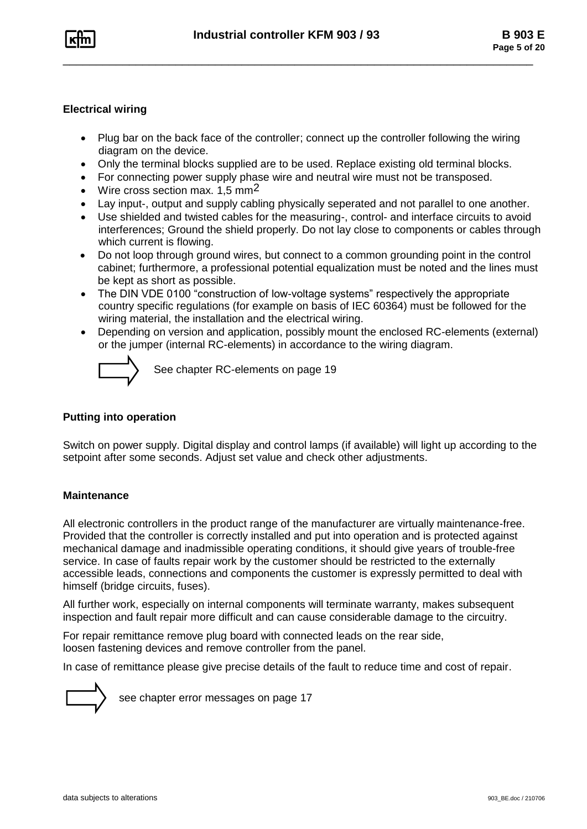

### **Electrical wiring**

- • Plug bar on the back face of the controller; connect up the controller following the wiring diagram on the device.
- •Only the terminal blocks supplied are to be used. Replace existing old terminal blocks.
- For connecting power supply phase wire and neutral wire must not be transposed.
- •Wire cross section max. 1.5 mm<sup>2</sup>
- •Lay input-, output and supply cabling physically seperated and not parallel to one another.
- Use shielded and twisted cables for the measuring-, control- and interface circuits to avoid interferences; Ground the shield properly. Do not lay close to components or cables through which current is flowing.
- Do not loop through ground wires, but connect to a common grounding point in the control cabinet; furthermore, a professional potential equalization must be noted and the lines must be kept as short as possible.
- The DIN VDE 0100 "construction of low-voltage systems" respectively the appropriate country specific regulations (for example on basis of IEC 60364) must be followed for the wiring material, the installation and the electrical wiring.
- • Depending on version and application, possibly mount the enclosed RC-elements (external) or the jumper (internal RC-elements) in accordance to the wiring diagram.



See chapter RC-elements on page 19

### **Putting into operation**

Switch on power supply. Digital display and control lamps (if available) will light up according to the setpoint after some seconds. Adjust set value and check other adjustments.

### **Maintenance**

All electronic controllers in the product range of the manufacturer are virtually maintenance-free. Provided that the controller is correctly installed and put into operation and is protected against mechanical damage and inadmissible operating conditions, it should give years of trouble-free service. In case of faults repair work by the customer should be restricted to the externally accessible leads, connections and components the customer is expressly permitted to deal with himself (bridge circuits, fuses).

All further work, especially on internal components will terminate warranty, makes subsequent inspection and fault repair more difficult and can cause considerable damage to the circuitry.

For repair remittance remove plug board with connected leads on the rear side, loosen fastening devices and remove controller from the panel.

In case of remittance please give precise details of the fault to reduce time and cost of repair.



see chapter error messages on page 17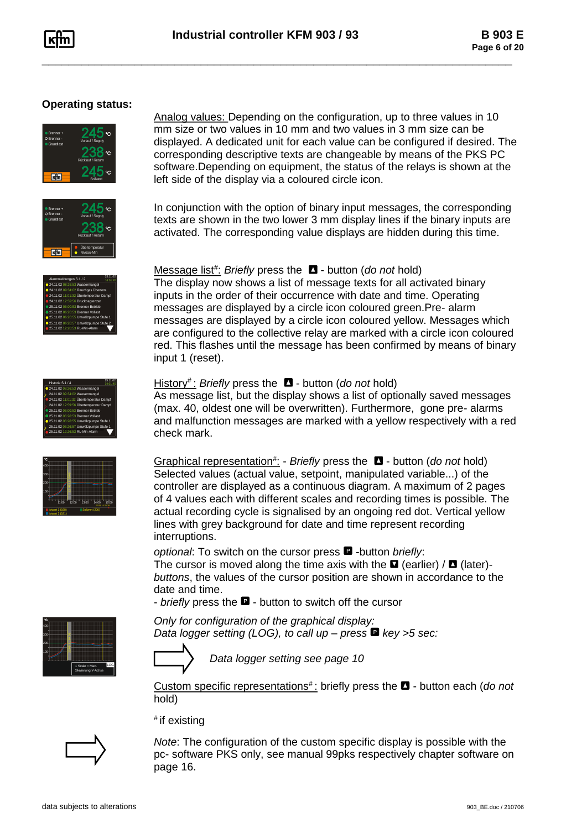## **Operating status:**





Analog values: Depending on the configuration, up to three values in 10 mm size or two values in 10 mm and two values in 3 mm size can be displayed. A dedicated unit for each value can be configured if desired. The corresponding descriptive texts are changeable by means of the PKS PC software.Depending on equipment, the status of the relays is shown at the left side of the display via a coloured circle icon.

In conjunction with the option of binary input messages, the corresponding texts are shown in the two lower 3 mm display lines if the binary inputs are activated. The corresponding value displays are hidden during this time.

The display now shows a list of message texts for all activated binary inputs in the order of their occurrence with date and time. Operating messages are displayed by a circle icon coloured green.Pre- alarm

| Alarmmeldungen S.1 / 2                 |
|----------------------------------------|
| 24.11.02 08:26:53 Wassermangel         |
| 24.11.02 09:34:02 Rauchgas Übertem.    |
| 24.11.02 11:01:32 Übertemperatur Dampf |
| 24.11.02 12:59:56 Druckbegrenzer       |
| 25.11.02 06:00:53 Brenner Betrieb      |
| 25.11.02 06:26:53 Brenner Vollast      |
| 25.11.02 06:26:55 Umwälzpumpe Stufe 1  |
| 25.11.02 06:26:57 Umwälzpumpe Stufe 2  |
| 25.11.02 12:26:53 RL-Min-Alarm         |
|                                        |

| Historie S.1 / 4                       |  |
|----------------------------------------|--|
| 24.11.02 08:26:53 Wassermangel         |  |
| 24.11.02 09:34:02 Wassermangel         |  |
| 24.11.02 11:01:32 Übertemperatur Dampf |  |
| 24.11.02 12:59:56 Übertemperatur Dampf |  |
| 25.11.02 06:00:53 Brenner Betrieb      |  |
| 25.11.02 06:26:53 Brenner Vollast      |  |
| 25.11.02 06:26:55 Umwälzoumpe Stufe 1  |  |
| 25.11.02 06:26:57 Umwälzoumpe Stufe 1  |  |
| 25.11.02 12:26:53 RL-Min-Alarm         |  |

| 400                                                                |       |        |       |                       |      |
|--------------------------------------------------------------------|-------|--------|-------|-----------------------|------|
| 300                                                                |       | ٠<br>c |       |                       |      |
| 200                                                                |       |        |       |                       |      |
| 100                                                                |       | 2      |       |                       |      |
|                                                                    |       |        |       |                       |      |
|                                                                    | 11.00 | 1200   | 13:00 | 4:00<br>22.0514:25:26 | 1500 |
| Sollwert (200)<br><b>Istwert 1 (198)</b><br><b>Istwert 2 (181)</b> |       |        |       |                       |      |

History # : *Briefly* press the - button (*do not* hold)

Message list# : *Briefly* press the - button (*do not* hold)

As message list, but the display shows a list of optionally saved messages (max. 40, oldest one will be overwritten). Furthermore, gone pre- alarms and malfunction messages are marked with a yellow respectively with a red check mark.

Graphical representation# : - *Briefly* press the - button (*do not* hold) Selected values (actual value, setpoint, manipulated variable...) of the controller are displayed as a continuous diagram. A maximum of 2 pages of 4 values each with different scales and recording times is possible. The actual recording cycle is signalised by an ongoing red dot. Vertical yellow lines with grey background for date and time represent recording interruptions.

*optional*: To switch on the cursor press *-*button *briefly*: The cursor is moved along the time axis with the  $\blacksquare$  (earlier) /  $\blacksquare$  (later)*buttons*, the values of the cursor position are shown in accordance to the date and time.

- *briefly* press the ■ - button to switch off the cursor

*Only for configuration of the graphical display:*

Solate Kanal 1 Soldwert VL-Max-Alarm Kaltstart-Begr.  $A = 250$ Sollwert Kanal 1 SP Brenner + RL-Min-Alarm Brenner - Grundlast Vorlauf <del>II (Supply)</del> erung Y-Achs 100 11:00 12:00 13:00 14:00 22.05 14:25:26 200 400 300 15:00 2.05 11:30<br>|-<br>|-Sollwert Kanal 1 Sollwert  $\sum_{n=1}^{\infty}$  Scale = Man. Skalierung Y-Achse LOG

*Data logger setting (LOG), to call up – press key >5 sec:*



*Data logger setting see page 10*

Custom specific representations<sup>#</sup>: briefly press the **D** - button each (*do not* hold)

# if existing



*Note*: The configuration of the custom specific display is possible with the pc- software PKS only, see manual 99pks respectively chapter software on page 16.

### messages are displayed by a circle icon coloured yellow. Messages which are configured to the collective relay are marked with a circle icon coloured red. This flashes until the message has been confirmed by means of binary

input 1 (reset).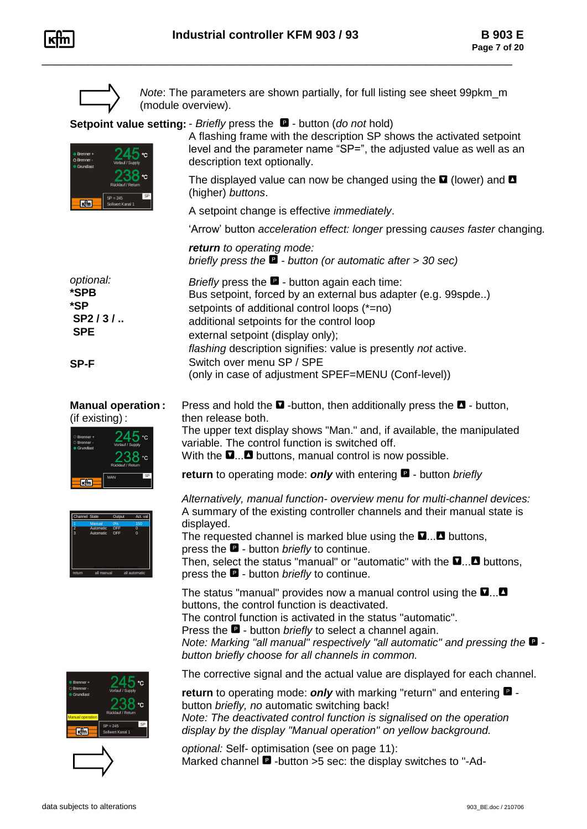

*Note*: The parameters are shown partially, for full listing see sheet 99pkm\_m (module overview).

**Setpoint value setting:** - *Briefly* press the - button (*do not* hold)

then release both.



A flashing frame with the description SP shows the activated setpoint level and the parameter name "SP=", the adjusted value as well as an description text optionally.

The displayed value can now be changed using the  $\blacksquare$  (lower) and  $\blacksquare$ (higher) *buttons*.

A setpoint change is effective *immediately*.

'Arrow' button *acceleration effect: longer* pressing *causes faster* changing*.*

*return to operating mode: briefly press the - button (or automatic after > 30 sec)*

| optional:  | <i>Briefly</i> press the $\blacksquare$ - button again each time: |
|------------|-------------------------------------------------------------------|
| *SPB       | Bus setpoint, forced by an external bus adapter (e.g. 99spde)     |
| *SP        | setpoints of additional control loops (*=no)                      |
| $SP2/3/$   | additional setpoints for the control loop                         |
| <b>SPE</b> | external setpoint (display only);                                 |
|            | flashing description signifies: value is presently not active.    |
| SP-F       | Switch over menu SP / SPE                                         |
|            | (only in case of adjustment SPEF=MENU (Conf-level))               |

| <b>Manual operation:</b> |  |
|--------------------------|--|
| (if existing):           |  |



variable. The control function is switched off. With the  $\Box$ ... buttons, manual control is now possible. **return** to operating mode: **only** with entering  $\blacksquare$  - button *briefly* 

**Press and hold the**  $\blacksquare$  **-button, then additionally press the**  $\blacksquare$  **- button,** 

The upper text display shows "Man." and, if available, the manipulated



*Alternatively, manual function- overview menu for multi-channel devices:* A summary of the existing controller channels and their manual state is displayed.

The requested channel is marked blue using the  $\square$ ... buttons, press the  $\blacksquare$  - button *briefly* to continue.

Then, select the status "manual" or "automatic" with the  $\square \dots \square$  buttons, press the  $\blacksquare$  - button *briefly* to continue.

The status "manual" provides now a manual control using the  $\square$ ... buttons, the control function is deactivated. The control function is activated in the status "automatic". Press the **D** - button *briefly* to select a channel again. *Note: Marking "all manual" respectively "all automatic" and pressing the*  $\blacksquare$  *button briefly choose for all channels in common.*





The corrective signal and the actual value are displayed for each channel.

**return** to operating mode: **only** with marking "return" and entering  $\blacksquare$  button *briefly, no* automatic switching back! *Note: The deactivated control function is signalised on the operation display by the display "Manual operation" on yellow background.* 

*optional:* Self- optimisation (see on page 11): Marked channel  $\blacksquare$  -button >5 sec: the display switches to "-Ad-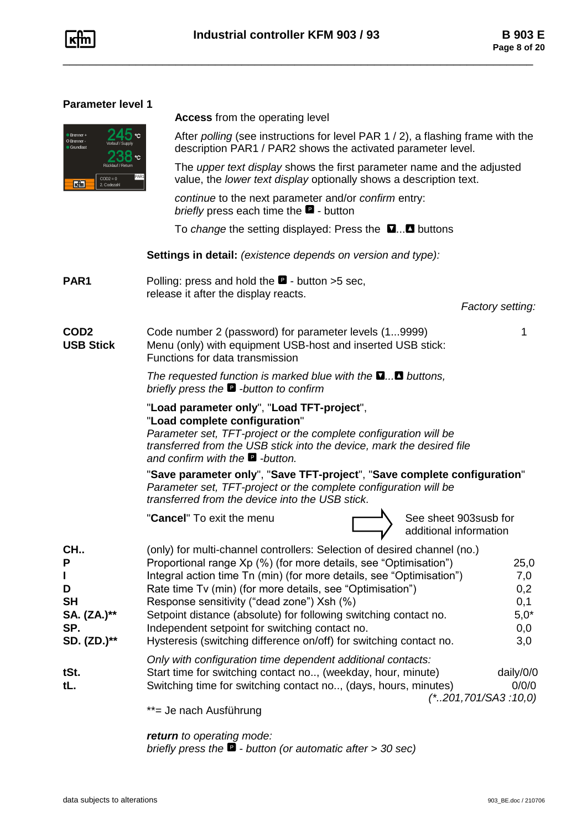

### **Parameter level 1**

| Brenner +<br>O Brenner -<br>Grundlast | ℃<br>Vorlauf / Supply<br>℃<br>Rücklauf / Return |
|---------------------------------------|-------------------------------------------------|
|                                       | PAR <sup>*</sup><br>$COD2 = 0$<br>2. Codezahl   |

**Access** from the operating level

After *polling* (see instructions for level PAR 1 / 2), a flashing frame with the description PAR1 / PAR2 shows the activated parameter level.

The *upper text display* shows the first parameter name and the adjusted value, the *lower text display* optionally shows a description text.

*continue* to the next parameter and/or *confirm* entry: *briefly* press each time the  $\blacksquare$  - button

To *change* the setting displayed: Press the **u...** buttons

**Settings in detail:** *(existence depends on version and type):*

**PAR1** Polling: press and hold the **D** - button >5 sec, release it after the display reacts.

*Factory setting:*

**COD2** Code number 2 (password) for parameter levels (1...9999) 1 **USB Stick** Menu (only) with equipment USB-host and inserted USB stick: Functions for data transmission

> *The requested function is marked blue with the*  $\Box$ *... buttons, briefly press the -button to confirm*

### "**Load parameter only**", "**Load TFT-project**", "**Load complete configuration**"

*Parameter set, TFT-project or the complete configuration will be transferred from the USB stick into the device, mark the desired file and confirm with the -button.* 

"**Save parameter only**", "**Save TFT-project**", "**Save complete configuration**" *Parameter set, TFT-project or the complete configuration will be transferred from the device into the USB stick.*

"**Cancel**" To exit the menu See Sheet 903susb for



additional information

| $CH1$ .     | (only) for multi-channel controllers: Selection of desired channel (no.) |           |
|-------------|--------------------------------------------------------------------------|-----------|
| P           | Proportional range Xp (%) (for more details, see "Optimisation")         | 25,0      |
|             | Integral action time Tn (min) (for more details, see "Optimisation")     | 7,0       |
| D           | Rate time Tv (min) (for more details, see "Optimisation")                | 0,2       |
| <b>SH</b>   | Response sensitivity ("dead zone") Xsh (%)                               | 0,1       |
| SA. (ZA.)** | Setpoint distance (absolute) for following switching contact no.         | $5,0*$    |
| SP.         | Independent setpoint for switching contact no.                           | 0,0       |
| SD. (ZD.)** | Hysteresis (switching difference on/off) for switching contact no.       | 3,0       |
|             | Only with configuration time dependent additional contacts:              |           |
| tSt.        | Start time for switching contact no, (weekday, hour, minute)             | daily/0/0 |
| tL.         | Switching time for switching contact no, (days, hours, minutes)          | 0/0/0     |
|             | $(*.201,701/SA3:10,0)$                                                   |           |
|             | **= Je nach Ausführung                                                   |           |

Je nach Ausführung

*return to operating mode: briefly press the - button (or automatic after > 30 sec)*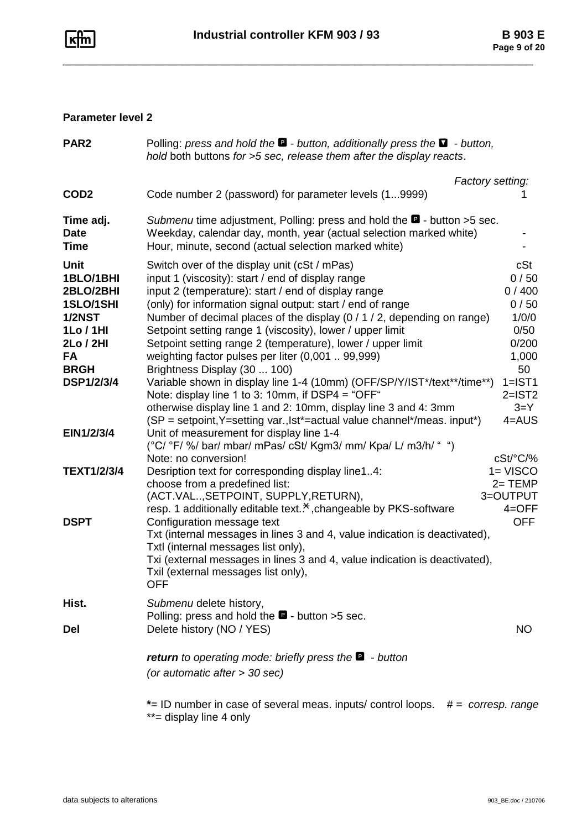

### **Parameter level 2**

| PAR <sub>2</sub>                                                                                           | Polling: press and hold the $\blacksquare$ - button, additionally press the $\blacksquare$ - button,<br>hold both buttons for >5 sec, release them after the display reacts.                                                                                                                                                                                                                                                                                                       |                                                                 |  |
|------------------------------------------------------------------------------------------------------------|------------------------------------------------------------------------------------------------------------------------------------------------------------------------------------------------------------------------------------------------------------------------------------------------------------------------------------------------------------------------------------------------------------------------------------------------------------------------------------|-----------------------------------------------------------------|--|
|                                                                                                            | Factory setting:                                                                                                                                                                                                                                                                                                                                                                                                                                                                   |                                                                 |  |
| COD <sub>2</sub>                                                                                           | Code number 2 (password) for parameter levels (19999)                                                                                                                                                                                                                                                                                                                                                                                                                              |                                                                 |  |
| Time adj.<br><b>Date</b><br><b>Time</b>                                                                    | Submenu time adjustment, Polling: press and hold the <b>D</b> - button >5 sec.<br>Weekday, calendar day, month, year (actual selection marked white)<br>Hour, minute, second (actual selection marked white)                                                                                                                                                                                                                                                                       |                                                                 |  |
| <b>Unit</b><br>1BLO/1BHI<br>2BLO/2BHI<br>1SLO/1SHI<br><b>1/2NST</b><br>1Lo / 1HI<br>2Lo / 2HI<br><b>FA</b> | Switch over of the display unit (cSt / mPas)<br>input 1 (viscosity): start / end of display range<br>input 2 (temperature): start / end of display range<br>(only) for information signal output: start / end of range<br>Number of decimal places of the display (0 / 1 / 2, depending on range)<br>Setpoint setting range 1 (viscosity), lower / upper limit<br>Setpoint setting range 2 (temperature), lower / upper limit<br>weighting factor pulses per liter (0,001  99,999) | cSt<br>0/50<br>0/400<br>0/50<br>1/0/0<br>0/50<br>0/200<br>1,000 |  |
| <b>BRGH</b><br><b>DSP1/2/3/4</b>                                                                           | Brightness Display (30  100)<br>Variable shown in display line 1-4 (10mm) (OFF/SP/Y/IST*/text**/time**)<br>Note: display line 1 to 3: 10mm, if DSP4 = "OFF"<br>otherwise display line 1 and 2: 10mm, display line 3 and 4: 3mm<br>(SP = setpoint, Y=setting var., lst*=actual value channel*/meas. input*)                                                                                                                                                                         | 50<br>$1=IST1$<br>$2=$ IST2<br>$3 = Y$<br>$4 = AUS$             |  |
| EIN1/2/3/4                                                                                                 | Unit of measurement for display line 1-4<br>(°C/ °F/ %/ bar/ mbar/ mPas/ cSt/ Kgm3/ mm/ Kpa/ L/ m3/h/ " ")<br>Note: no conversion!                                                                                                                                                                                                                                                                                                                                                 | cSt/°C/%                                                        |  |
| <b>TEXT1/2/3/4</b>                                                                                         | Desription text for corresponding display line14:<br>choose from a predefined list:<br>(ACT.VAL, SETPOINT, SUPPLY, RETURN),<br>resp. 1 additionally editable text. <sup>*</sup> , changeable by PKS-software                                                                                                                                                                                                                                                                       | $1 = VISCO$<br>$2 = TEMP$<br>3=OUTPUT<br>$4=OFF$                |  |
| <b>DSPT</b>                                                                                                | Configuration message text<br>Txt (internal messages in lines 3 and 4, value indication is deactivated),<br>Txtl (internal messages list only),<br>Txi (external messages in lines 3 and 4, value indication is deactivated),<br>Txil (external messages list only),<br><b>OFF</b>                                                                                                                                                                                                 | <b>OFF</b>                                                      |  |
| Hist.                                                                                                      | Submenu delete history,<br>Polling: press and hold the $\blacksquare$ - button >5 sec.                                                                                                                                                                                                                                                                                                                                                                                             |                                                                 |  |
| <b>Del</b>                                                                                                 | Delete history (NO / YES)                                                                                                                                                                                                                                                                                                                                                                                                                                                          | NO.                                                             |  |
|                                                                                                            | <b>return</b> to operating mode: briefly press the $\blacksquare$ - button<br>(or automatic after > 30 sec)                                                                                                                                                                                                                                                                                                                                                                        |                                                                 |  |
|                                                                                                            | *= ID number in case of several meas. inputs/ control loops. #= corresp. range<br>**= display line 4 only                                                                                                                                                                                                                                                                                                                                                                          |                                                                 |  |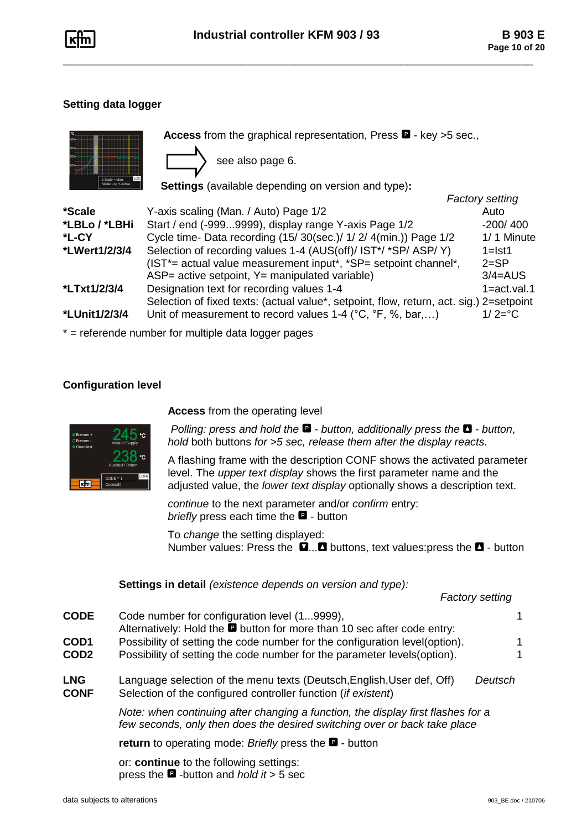

### **Setting data logger**

|               | Access from the graphical representation, Press $\blacksquare$ - key >5 sec.,<br>see also page 6. |                        |
|---------------|---------------------------------------------------------------------------------------------------|------------------------|
|               | <b>Settings</b> (available depending on version and type):                                        |                        |
|               |                                                                                                   | <b>Factory setting</b> |
| *Scale        | Y-axis scaling (Man. / Auto) Page 1/2                                                             | Auto                   |
| *LBLo / *LBHi | Start / end (-9999999), display range Y-axis Page 1/2                                             | $-200/400$             |
| *L-CY         | Cycle time- Data recording (15/30(sec.)/ 1/ 2/ 4(min.)) Page 1/2                                  | 1/1 Minute             |
| *LWert1/2/3/4 | Selection of recording values 1-4 (AUS(off)/ IST*/ *SP/ ASP/ Y)                                   | $1 = 1st1$             |
|               | (IST*= actual value measurement input*, *SP= setpoint channel*,                                   | $2 = SP$               |
|               | ASP= active setpoint, Y= manipulated variable)                                                    | $3/4 = AUS$            |
| *LTxt1/2/3/4  | Designation text for recording values 1-4                                                         | $1 = act.val.1$        |
|               | Selection of fixed texts: (actual value*, setpoint, flow, return, act. sig.) 2=setpoint           |                        |
| *LUnit1/2/3/4 | Unit of measurement to record values 1-4 ( $^{\circ}$ C, $^{\circ}$ F, %, bar,)                   | $1/2 = C$              |

\* = referende number for multiple data logger pages

### **Configuration level**



**Access** from the operating level

*Polling: press and hold the*  $\blacksquare$  *- button, additionally press the*  $\blacksquare$  *- button, hold* both buttons *for >5 sec, release them after the display reacts.*

A flashing frame with the description CONF shows the activated parameter level. The *upper text display* shows the first parameter name and the adjusted value, the *lower text display* optionally shows a description text.

*continue* to the next parameter and/or *confirm* entry: *briefly* press each time the  $\blacksquare$  - button

To *change* the setting displayed: Number values: Press the  $\Box$ ... buttons, text values: press the  $\Box$  - button

|                    | Settings in detail (existence depends on version and type):                                                                                                   |   |  |  |  |
|--------------------|---------------------------------------------------------------------------------------------------------------------------------------------------------------|---|--|--|--|
|                    | <b>Factory setting</b>                                                                                                                                        |   |  |  |  |
| CODE               | Code number for configuration level (19999),<br>Alternatively: Hold the <b>D</b> button for more than 10 sec after code entry:                                | 1 |  |  |  |
| COD1               | Possibility of setting the code number for the configuration level (option).                                                                                  | 1 |  |  |  |
| COD2               | Possibility of setting the code number for the parameter levels (option).                                                                                     | 1 |  |  |  |
| <b>LNG</b><br>CONF | Language selection of the menu texts (Deutsch, English, User def, Off)<br>Deutsch<br>Selection of the configured controller function ( <i>if existent</i> )   |   |  |  |  |
|                    | Note: when continuing after changing a function, the display first flashes for a<br>few seconds, only then does the desired switching over or back take place |   |  |  |  |
|                    | <b>return</b> to operating mode: Briefly press the $\blacksquare$ - button                                                                                    |   |  |  |  |
|                    | or: continue to the following settings:                                                                                                                       |   |  |  |  |

press the -button and *hold it* > 5 sec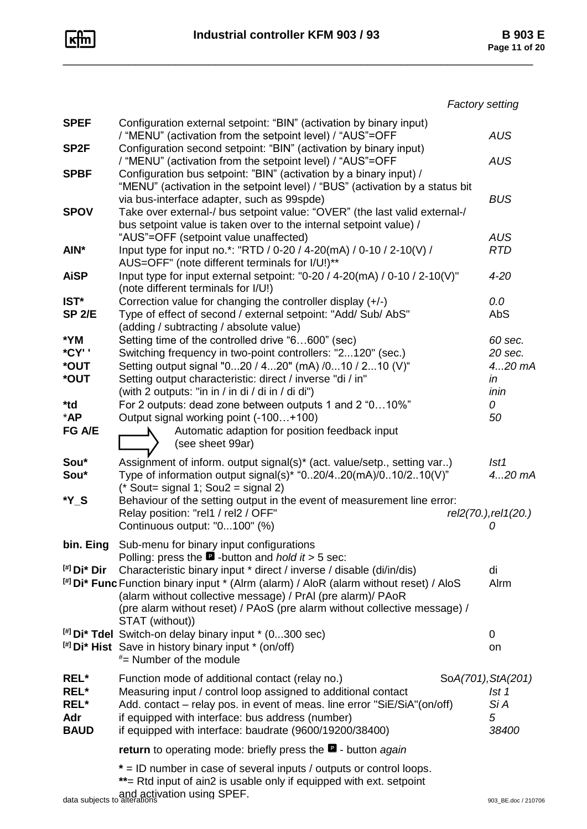

|                                               | <b>Factory setting</b>                                                                                                                                                                                                                                                                                                                                                                                                                                                                                                                                                                                                |                                                              |
|-----------------------------------------------|-----------------------------------------------------------------------------------------------------------------------------------------------------------------------------------------------------------------------------------------------------------------------------------------------------------------------------------------------------------------------------------------------------------------------------------------------------------------------------------------------------------------------------------------------------------------------------------------------------------------------|--------------------------------------------------------------|
| <b>SPEF</b>                                   | Configuration external setpoint: "BIN" (activation by binary input)<br>/ "MENU" (activation from the setpoint level) / "AUS"=OFF                                                                                                                                                                                                                                                                                                                                                                                                                                                                                      | <b>AUS</b>                                                   |
| SP <sub>2F</sub>                              | Configuration second setpoint: "BIN" (activation by binary input)<br>/ "MENU" (activation from the setpoint level) / "AUS"=OFF                                                                                                                                                                                                                                                                                                                                                                                                                                                                                        | <b>AUS</b>                                                   |
| <b>SPBF</b><br><b>SPOV</b>                    | Configuration bus setpoint: "BIN" (activation by a binary input) /<br>"MENU" (activation in the setpoint level) / "BUS" (activation by a status bit<br>via bus-interface adapter, such as 99spde)<br>Take over external-/ bus setpoint value: "OVER" (the last valid external-/                                                                                                                                                                                                                                                                                                                                       | <b>BUS</b>                                                   |
| AIN*                                          | bus setpoint value is taken over to the internal setpoint value) /<br>"AUS"=OFF (setpoint value unaffected)<br>Input type for input no.*: "RTD / 0-20 / 4-20(mA) / 0-10 / 2-10(V) /                                                                                                                                                                                                                                                                                                                                                                                                                                   | <b>AUS</b><br><b>RTD</b>                                     |
| <b>AiSP</b>                                   | AUS=OFF" (note different terminals for I/U!)**<br>Input type for input external setpoint: "0-20 / 4-20(mA) / 0-10 / 2-10(V)"<br>(note different terminals for I/U!)                                                                                                                                                                                                                                                                                                                                                                                                                                                   | $4 - 20$                                                     |
| IST*<br><b>SP 2/E</b>                         | Correction value for changing the controller display (+/-)<br>Type of effect of second / external setpoint: "Add/ Sub/ AbS"<br>(adding / subtracting / absolute value)                                                                                                                                                                                                                                                                                                                                                                                                                                                | 0.0<br>AbS                                                   |
| *YM<br>*CY' '<br>*OUT<br>*OUT<br>*td<br>$*AP$ | Setting time of the controlled drive "6600" (sec)<br>Switching frequency in two-point controllers: "2120" (sec.)<br>Setting output signal "020 / 420" (mA) /010 / 210 (V)"<br>Setting output characteristic: direct / inverse "di / in"<br>(with 2 outputs: "in in / in di / di in / di di")<br>For 2 outputs: dead zone between outputs 1 and 2 "010%"<br>Output signal working point (-100+100)                                                                                                                                                                                                                     | 60 sec.<br>20 sec.<br>420 mA<br>in<br>inin<br>0<br>50        |
| FG A/E                                        | Automatic adaption for position feedback input<br>(see sheet 99ar)                                                                                                                                                                                                                                                                                                                                                                                                                                                                                                                                                    |                                                              |
| Sou*<br>Sou*<br>*Y S                          | Assignment of inform. output signal(s)* (act. value/setp., setting var)<br>Type of information output signal(s)* "020/420(mA)/010/210(V)"<br>(* Sout= signal 1; Sou2 = signal 2)<br>Behaviour of the setting output in the event of measurement line error:<br>Relay position: "rel1 / rel2 / OFF"<br>Continuous output: "0100" (%)                                                                                                                                                                                                                                                                                   | Ist1<br>$420$ mA<br>rel2(70.), rel1(20.)<br>0                |
| bin. Eing<br>$[$ #] Di* Dir                   | Sub-menu for binary input configurations<br>Polling: press the $\blacksquare$ -button and <i>hold it</i> > 5 sec:<br>Characteristic binary input * direct / inverse / disable (di/in/dis)<br><sup>[#]</sup> Di* Func Function binary input * (Alrm (alarm) / AloR (alarm without reset) / AloS<br>(alarm without collective message) / PrAI (pre alarm)/ PAoR<br>(pre alarm without reset) / PAoS (pre alarm without collective message) /<br>STAT (without))<br>$[$ #] Di* Tdel Switch-on delay binary input $*$ (0300 sec)<br>$[$ #] Di* Hist Save in history binary input * (on/off)<br>$*$ = Number of the module | di<br>Alrm<br>0<br>on                                        |
| REL*<br>REL*<br>REL*<br>Adr<br><b>BAUD</b>    | Function mode of additional contact (relay no.)<br>Measuring input / control loop assigned to additional contact<br>Add. contact – relay pos. in event of meas. line error "SiE/SiA"(on/off)<br>if equipped with interface: bus address (number)<br>if equipped with interface: baudrate (9600/19200/38400)                                                                                                                                                                                                                                                                                                           | SoA(701), StA(201)<br>1st <sub>1</sub><br>Si A<br>5<br>38400 |
|                                               | return to operating mode: briefly press the <b>D</b> - button again<br>* = ID number in case of several inputs / outputs or control loops.                                                                                                                                                                                                                                                                                                                                                                                                                                                                            |                                                              |
|                                               | **= Rtd input of ain2 is usable only if equipped with ext. setpoint                                                                                                                                                                                                                                                                                                                                                                                                                                                                                                                                                   |                                                              |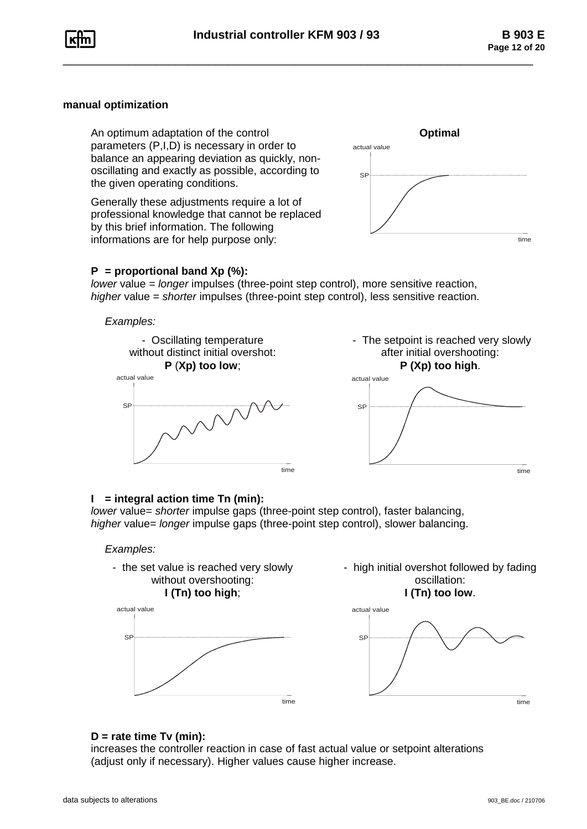

### **manual optimization**

An optimum adaptation of the control **Optimal** parameters (P,I,D) is necessary in order to balance an appearing deviation as quickly, nonoscillating and exactly as possible, according to the given operating conditions.

Generally these adjustments require a lot of professional knowledge that cannot be replaced by this brief information. The following informations are for help purpose only:



#### **P = proportional band Xp (%):**

*lower* value *= longer* impulses (three-point step control), more sensitive reaction, *higher* value = *shorter* impulses (three-point step control), less sensitive reaction.

#### *Examples:*



#### **I = integral action time Tn (min):**

*lower* value= *shorter* impulse gaps (three-point step control), faster balancing, *higher* value= *longer* impulse gaps (three-point step control), slower balancing.

#### *Examples:*



#### **D = rate time Tv (min):**

increases the controller reaction in case of fast actual value or setpoint alterations <sup>time</sup><br>D = rate time Tv (min):<br>increases the controller reaction in case of fast actual value or setpoint alterations<br>(adjust only if necessary). Higher values cause higher increase.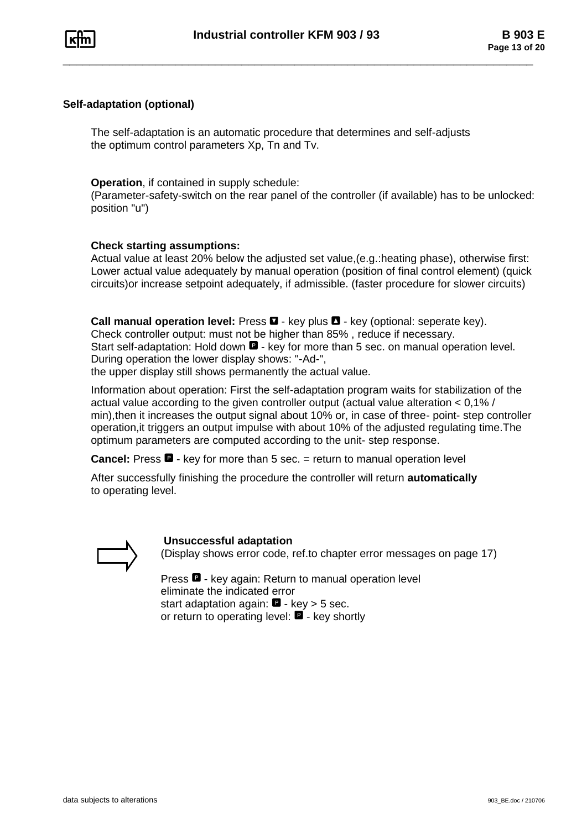

#### **Self-adaptation (optional)**

The self-adaptation is an automatic procedure that determines and self-adjusts the optimum control parameters Xp, Tn and Tv.

#### **Operation**, if contained in supply schedule:

(Parameter-safety-switch on the rear panel of the controller (if available) has to be unlocked: position "u")

### **Check starting assumptions:**

Actual value at least 20% below the adjusted set value,(e.g.:heating phase), otherwise first: Lower actual value adequately by manual operation (position of final control element) (quick circuits)or increase setpoint adequately, if admissible. (faster procedure for slower circuits)

**Call manual operation level:** Press  $\blacksquare$  - key plus  $\blacksquare$  - key (optional: seperate key). Check controller output: must not be higher than 85% , reduce if necessary. Start self-adaptation: Hold down  $\blacksquare$  - key for more than 5 sec. on manual operation level. During operation the lower display shows: "-Ad-", the upper display still shows permanently the actual value.

Information about operation: First the self-adaptation program waits for stabilization of the actual value according to the given controller output (actual value alteration < 0,1% / min),then it increases the output signal about 10% or, in case of three- point- step controller

operation,it triggers an output impulse with about 10% of the adjusted regulating time.The optimum parameters are computed according to the unit- step response.

**Cancel:** Press  $\blacksquare$  - key for more than 5 sec. = return to manual operation level

After successfully finishing the procedure the controller will return **automatically** to operating level.



#### **Unsuccessful adaptation**

(Display shows error code, ref.to chapter error messages on page 17)

Press  $\blacksquare$  - key again: Return to manual operation level eliminate the indicated error start adaptation again:  $\blacksquare$  - key > 5 sec. or return to operating level:  $\blacksquare$  - key shortly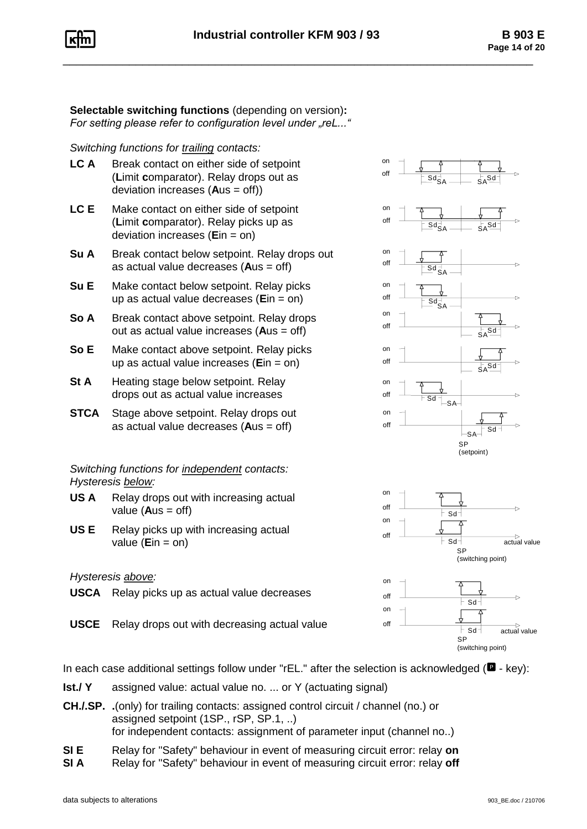**Selectable switching functions** (depending on version)**:** *For setting please refer to configuration level under "reL..."* 

### *Switching functions for trailing contacts:*

- **LC A** Break contact on either side of setpoint (**L**imit **c**omparator). Relay drops out as deviation increases (**A**us = off))
- **LC E** Make contact on either side of setpoint (**L**imit **c**omparator). Relay picks up as deviation increases (**E**in = on)
- **Su A** Break contact below setpoint. Relay drops out as actual value decreases (**A**us = off)
- **Su E** Make contact below setpoint. Relay picks up as actual value decreases (**E**in = on)
- **So A** Break contact above setpoint. Relay drops out as actual value increases (**A**us = off)
- **So E** Make contact above setpoint. Relay picks up as actual value increases (**E**in = on)
- **St A** Heating stage below setpoint. Relay drops out as actual value increases
- **STCA** Stage above setpoint. Relay drops out as actual value decreases (**A**us = off)

## *Switching functions for independent contacts: Hysteresis below:*

- **US A** Relay drops out with increasing actual value  $(Aus = off)$
- **US E** Relay picks up with increasing actual value (**E**in = on)

### *Hysteresis above:*

**USCA** Relay picks up as actual value decreases

**USCE** Relay drops out with decreasing actual value







In each case additional settings follow under "rEL." after the selection is acknowledged ( $\blacksquare$  - key):

- **Ist./ Y** assigned value: actual value no. ... or Y (actuating signal)
- **CH./.SP. .**(only) for trailing contacts: assigned control circuit / channel (no.) or assigned setpoint (1SP., rSP, SP.1, ..) for independent contacts: assignment of parameter input (channel no..)
- **SI E** Relay for "Safety" behaviour in event of measuring circuit error: relay **on**
- **SI A** Relay for "Safety" behaviour in event of measuring circuit error: relay off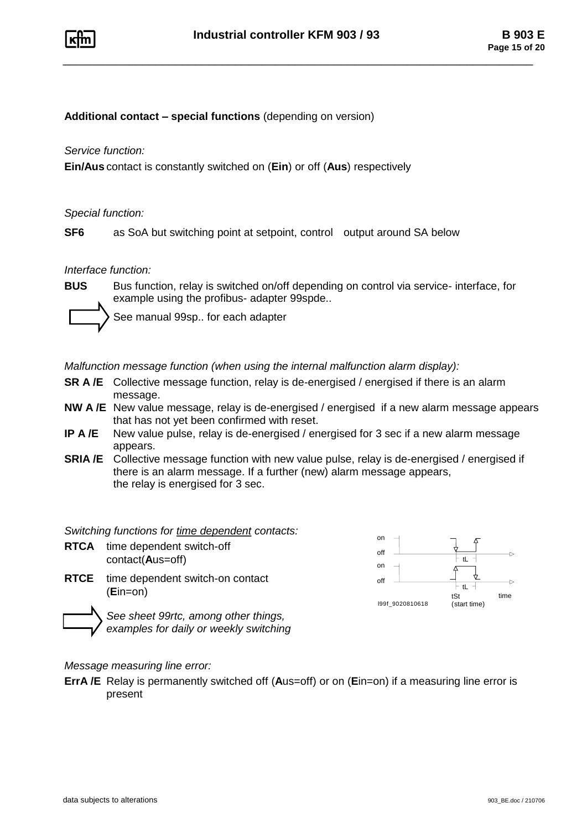

**Additional contact – special functions** (depending on version)

*Service function:*

**Ein/Aus** contact is constantly switched on (**Ein**) or off (**Aus**) respectively

*Special function:*

**SF6** as SoA but switching point at setpoint, control output around SA below

*Interface function:*

**BUS** Bus function, relay is switched on/off depending on control via service- interface, for example using the profibus- adapter 99spde..

See manual 99sp.. for each adapter

*Malfunction message function (when using the internal malfunction alarm display):*

- **SR A/E** Collective message function, relay is de-energised / energised if there is an alarm message.
- **NW A /E** New value message, relay is de-energised / energised if a new alarm message appears that has not yet been confirmed with reset.
- **IP A /E** New value pulse, relay is de-energised / energised for 3 sec if a new alarm message appears.
- **SRIA /E** Collective message function with new value pulse, relay is de-energised / energised if there is an alarm message. If a further (new) alarm message appears, the relay is energised for 3 sec.

*Switching functions for time dependent contacts:*

**RTCA** time dependent switch-off contact(**A**us=off)

**RTCE** time dependent switch-on contact (**E**in=on)



*See sheet 99rtc, among other things, examples for daily or weekly switching*

### *Message measuring line error:*

**ErrA /E** Relay is permanently switched off (**A**us=off) or on (**E**in=on) if a measuring line error is present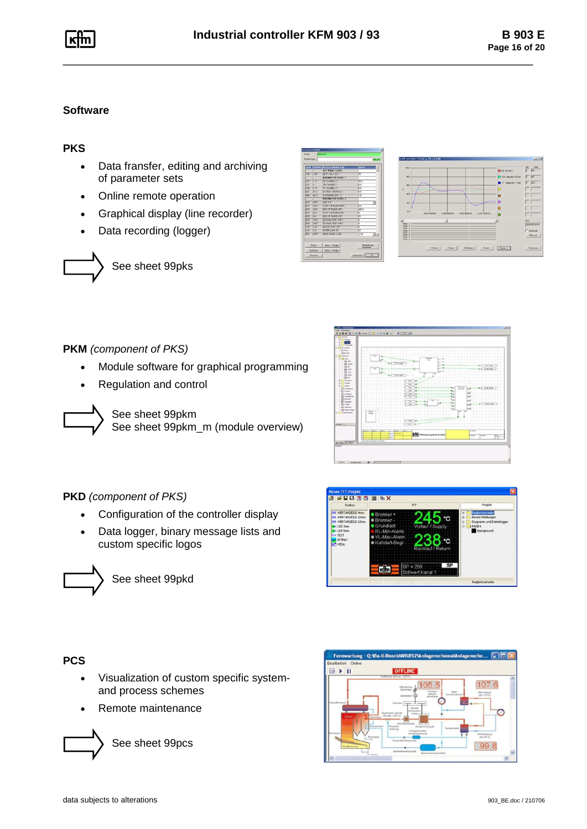### **Software**

# **PKS**

- • Data fransfer, editing and archiving of parameter sets
- •Online remote operation
- •Graphical display (line recorder)
- •Data recording (logger)

See sheet 99pks

|                              | CODE [PARAM.]   | <b>BEZEICHNUNG IENT</b>           | WERT                                          | 싀  |
|------------------------------|-----------------|-----------------------------------|-----------------------------------------------|----|
|                              |                 | <b>SET POINT LEVEL</b>            |                                               |    |
| h von                        | <b>li</b> ce    | <b>SETP VAL LOH 1</b>             | 63                                            |    |
|                              |                 | PARAMETER LEVEL 1                 |                                               |    |
| 5103                         | <b>IT P</b>     | <b>SP OWNEL 1</b>                 | 660                                           |    |
| h107                         | hз              | THE CHANNEL 1                     | ki                                            |    |
| <b>From</b>                  | F <sub>0</sub>  | TV OWNERED                        | 敱                                             |    |
| Don't                        | ਕਰ              | <b>Bwiffer INTERVAL 2</b>         | 莳                                             |    |
| <b>Etto</b>                  | 852             | <b>EWITOWNG DIFF</b> 2            | ोत                                            |    |
|                              |                 | <b>PARAMETER LEVEL 2</b>          |                                               |    |
| 613                          | <b>King</b>     | <b>BINTCK</b>                     |                                               | v  |
| 5178                         | <b>FIRE</b> O   | <b><i>START OF RANGE INP1</i></b> | h7                                            |    |
| <b>K180</b>                  | <b>TEH</b>      | <b>KND OF RANGE INPT</b>          | 40000                                         |    |
| \$25%                        | $E\overline{E}$ | <b>START OF HANGE DUT.</b>        | U                                             |    |
| En 30                        | <b>Bink</b>     | <b>END OF RANGE OUT</b>           | ട                                             |    |
| <b>RYAN</b>                  | <b>FINST</b>    | DECAML POINT INP 1                |                                               |    |
| \$329                        | DNST            | DECIMAL POINT INP.2               | Б                                             |    |
| 11.29                        | tite            | LOWER LIMIT 15P                   | Б                                             |    |
| 573                          | hж              | LIFFER LIMIT SP                   | B                                             |    |
| 8964                         | \$9399          | <b>BUT IT VALLET 1 LINE</b>       | 23P                                           | 고비 |
| Officen<br>Spechem<br>Deadow |                 | Daten c- Regie<br>Daten -> Regier | Bezeichnung<br><b>handwing</b><br>Abbenhen CK |    |



**PKM** *(component of PKS)*

- •Module software for graphical programming
- •Regulation and control





### **PKD** *(component of PKS)*

- •Configuration of the controller display
- • Data logger, binary message lists and custom specific logos



See sheet 99pkd





# **PCS**

- • Visualization of custom specific systemand process schemes
- Remote maintenance



See sheet 99pcs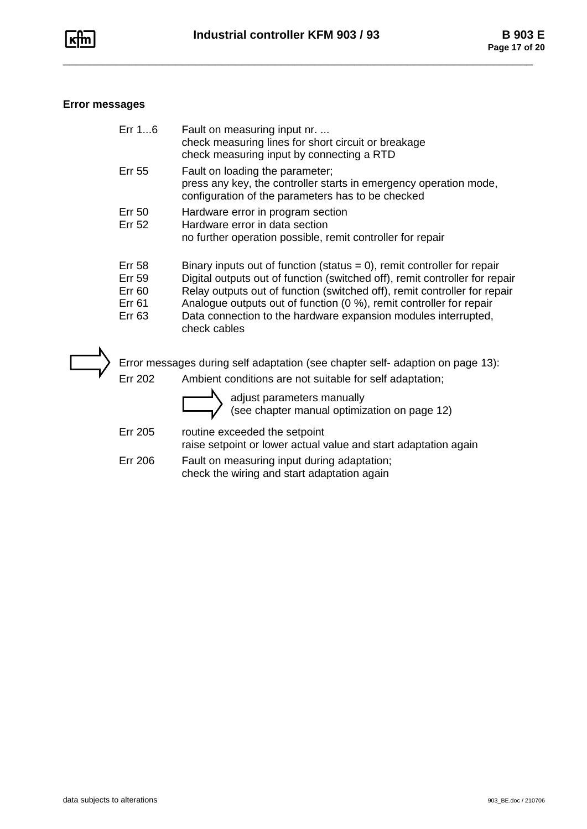

# **Error messages**

| Err $16$                                                                   | Fault on measuring input nr.<br>check measuring lines for short circuit or breakage<br>check measuring input by connecting a RTD                                                                                                                                                                                                                                                                |
|----------------------------------------------------------------------------|-------------------------------------------------------------------------------------------------------------------------------------------------------------------------------------------------------------------------------------------------------------------------------------------------------------------------------------------------------------------------------------------------|
| <b>Err 55</b>                                                              | Fault on loading the parameter;<br>press any key, the controller starts in emergency operation mode,<br>configuration of the parameters has to be checked                                                                                                                                                                                                                                       |
| Err 50<br><b>Err 52</b>                                                    | Hardware error in program section<br>Hardware error in data section<br>no further operation possible, remit controller for repair                                                                                                                                                                                                                                                               |
| <b>Err 58</b><br><b>Err 59</b><br><b>Err 60</b><br>Err 61<br><b>Err 63</b> | Binary inputs out of function (status $= 0$ ), remit controller for repair<br>Digital outputs out of function (switched off), remit controller for repair<br>Relay outputs out of function (switched off), remit controller for repair<br>Analogue outputs out of function (0 %), remit controller for repair<br>Data connection to the hardware expansion modules interrupted,<br>check cables |
|                                                                            | Error messages during self adaptation (see chapter self- adaption on page 13):                                                                                                                                                                                                                                                                                                                  |
| <b>Err 202</b>                                                             | Ambient conditions are not suitable for self adaptation;                                                                                                                                                                                                                                                                                                                                        |
|                                                                            | odiust poromotors monually                                                                                                                                                                                                                                                                                                                                                                      |

|                | adjust parameters manually<br>(see chapter manual optimization on page 12)                       |
|----------------|--------------------------------------------------------------------------------------------------|
| <b>Err 205</b> | routine exceeded the setpoint<br>raise setpoint or lower actual value and start adaptation again |
| Err 206        | Fault on measuring input during adaptation;                                                      |

check the wiring and start adaptation again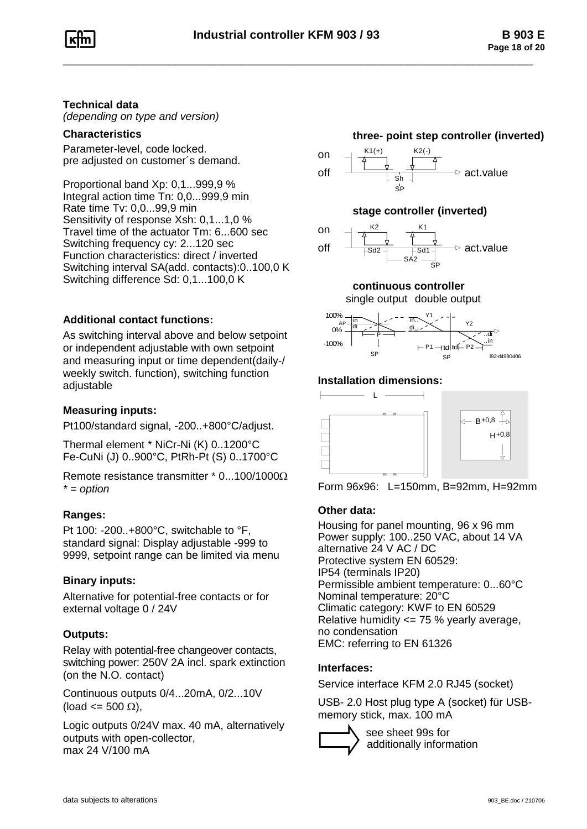## **Technical data**

*(depending on type and version)*

### **Characteristics**

Parameter-level, code locked. pre adjusted on customer´s demand.

Proportional band Xp: 0,1...999,9 % Integral action time Tn: 0,0...999,9 min Rate time Tv: 0,0...99,9 min Sensitivity of response Xsh: 0,1...1,0 % Travel time of the actuator Tm: 6...600 sec Switching frequency cy: 2...120 sec Function characteristics: direct / inverted Switching interval SA(add. contacts):0..100,0 K Switching difference Sd: 0,1...100,0 K

### **Additional contact functions:**

As switching interval above and below setpoint or independent adjustable with own setpoint and measuring input or time dependent(daily-/ weekly switch. function), switching function adjustable

## **Measuring inputs:**

Pt100/standard signal, -200..+800°C/adjust.

Thermal element \* NiCr-Ni (K) 0..1200°C Fe-CuNi (J) 0..900°C, PtRh-Pt (S) 0..1700°C

Remote resistance transmitter  $*$  0...100/1000 $\Omega$ *\* = option*

### **Ranges:**

Pt 100: -200..+800°C, switchable to °F, standard signal: Display adjustable -999 to 9999, setpoint range can be limited via menu

### **Binary inputs:**

Alternative for potential-free contacts or for external voltage 0 / 24V

### **Outputs:**

Relay with potential-free changeover contacts, switching power: 250V 2A incl. spark extinction (on the N.O. contact)

Continuous outputs 0/4...20mA, 0/2...10V  $(\text{load} \leq 500 \Omega)$ ,

Logic outputs 0/24V max. 40 mA, alternatively outputs with open-collector, max 24 V/100 mA

### **three- point step controller (inverted)**



### **stage controller (inverted)**



### **continuous controller**

single output double output



### **Installation dimensions:**



Form 96x96: L=150mm, B=92mm, H=92mm

### **Other data:**

Housing for panel mounting, 96 x 96 mm Power supply: 100..250 VAC, about 14 VA alternative 24 V AC / DC Protective system EN 60529: IP54 (terminals IP20) Permissible ambient temperature: 0...60°C Nominal temperature: 20°C Climatic category: KWF to EN 60529 Relative humidity <= 75 % yearly average, no condensation EMC: referring to EN 61326

### **Interfaces:**

Service interface KFM 2.0 RJ45 (socket)

USB- 2.0 Host plug type A (socket) für USBmemory stick, max. 100 mA



 see sheet 99s for additionally information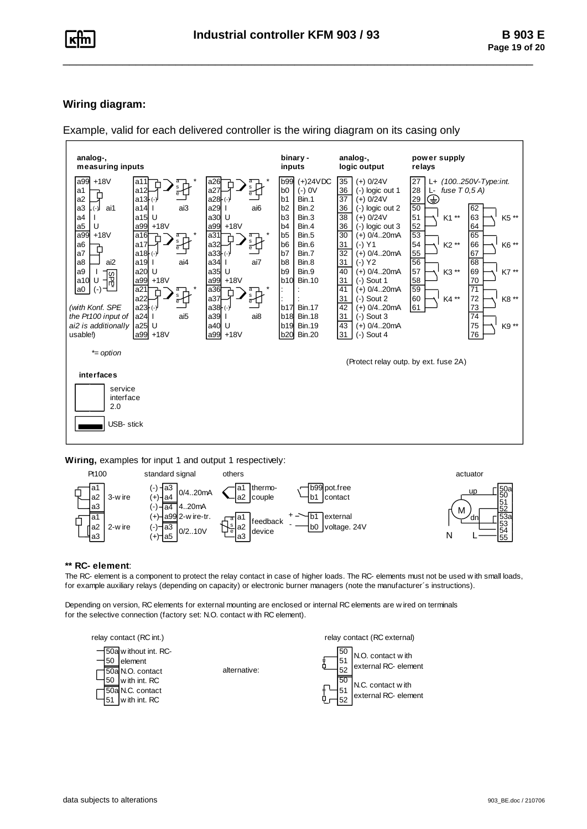### **Wiring diagram:**

Example, valid for each delivered controller is the wiring diagram on its casing only



**Wiring,** examples for input 1 and output 1 respectively:



#### **\*\* RC- element**:

The RC- element is a component to protect the relay contact in case of higher loads. The RC- elements must not be used w ith small loads, for example auxiliary relays (depending on capacity) or electronic burner managers (note the manufacturer´s instructions).

Depending on version, RC elements for external mounting are enclosed or internal RC elements are w ired on terminals for the selective connection (factory set: N.O. contact w ith RC element).